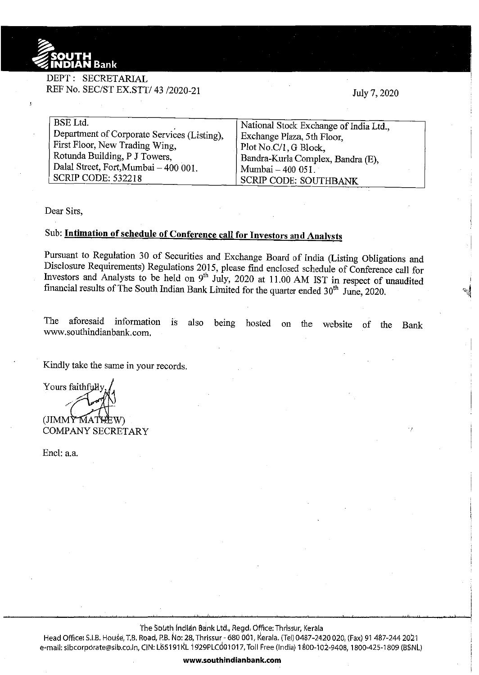

## DEPT: SECRETARIAL REF No. SEC/ST EX.STT/43 /2020-21

July 7, 2020

| <b>BSE</b> Ltd.                             | National Stock Exchange of India Ltd., |
|---------------------------------------------|----------------------------------------|
| Department of Corporate Services (Listing), |                                        |
|                                             | Exchange Plaza, 5th Floor,             |
| First Floor, New Trading Wing,              | Plot No.C/1, G Block,                  |
|                                             |                                        |
| Rotunda Building, P J Towers,               | Bandra-Kurla Complex, Bandra (E),      |
| Dalal Street, Fort, Mumbai - 400 001.       |                                        |
|                                             | Mumbai - 400 051.                      |
| SCRIP CODE: 532218                          | <b>SCRIP CODE: SOUTHBANK</b>           |
|                                             |                                        |

Dear Sirs,

## Sub: **Intimation of schedule of Conference call for Investors and Analysts**

Pursuant to Regulation 30 of Securities and Exchange Board of India (Listing Obligations and Disclosure Requirements) Regulations 2015, please find enclosed schedule of Conference call for Investors and Analysts to be held on 9<sup>th</sup> July, 2020 at 11.00 AM IST in respect of unaudited financial results of The South Indian Bank Limited for the quarter ended 30<sup>th</sup> June, 2020.

The aforesaid information is also being hosted on the website of the Bank www.southindianbank.com.

Kindly take the same in your records.

Yours faithfully  $\sim$   $\sim$   $\sim$   $\sim$  $(JIMM\tilde{Y}MA)$ COMPANY SECRETARY

Encl: a.a.

The South Indian Bank Ltd., Regd. Office: Thrissur, Kerala

Head Office: S.I.B. House, T.B. Road, P.B. No: 28, Thrissur - 680 001, Kerala. (Tel) 0487-2420 020, (Fax) 91 487-244 2021 e-mail: sibcorporate@sib.co.in, CIN: L65191 KL 1929PLCd01017, Toll Free (India) 1800-102-9408, 1800-425-1809 (BSNL)

**www.southindianbank.com**